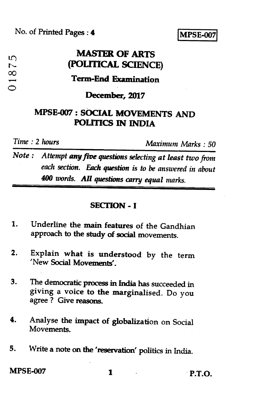No. of Printed Pages : 4 **IMPSE-001** 

# **MASTER OF ARTS (POLITICAL SCIENCE) Term-End Examination**

#### **December, 2017**

## **MPSE-007 : SOCIAL MOVEMENTS AND POLITICS IN INDIA**

i.  $10$ 

**00** 

 $\circ$ 

*Time : 2 hours Maximum Marks : 50* 

*Note : Attempt* **any** *five questions selecting at least two from each section. Each question is to be answered in about 400 words. All questions carry equal marks.* 

#### **SECTION - I**

- **1. Underline the main features of the Gandhian approach to the study of social movements.**
- **2. Explain what is understood by the term 'New Social Movements'.**
- **3. The democratic process in India has succeeded in giving a voice to the marginalised. Do you agree ? Give reasons.**
- **4. Analyse the impact of globalization on Social Movements.**
- **5. Write a note on the 'reservation' politics in India.**

**MPSE-007 1 P.T.O.**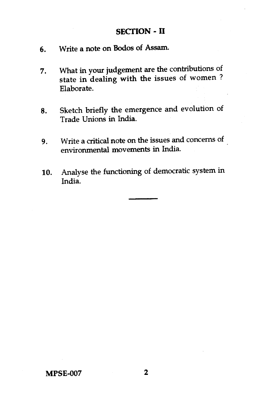### **SECTION - II**

- 6. Write a note on Bodos of Assam.
- 7. What in your judgement are the contributions of state in dealing with the issues of women ? Elaborate.
- 8. Sketch briefly the emergence and evolution of Trade Unions in India.
- 9. Write a critical note on the issues and concerns of environmental movements in India.
- 10. Analyse the functioning of democratic system in India.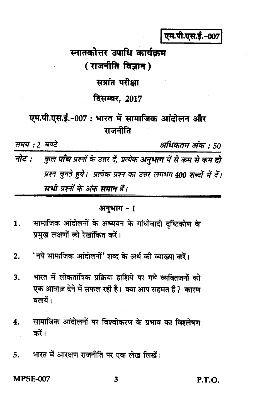एम.पी.एस.ई.-007

# स्नातकोत्तर उपाधि कार्यक्रम (राजनीति विज्ञान) सत्रांत परीक्षा दिसम्बर, 2017

एम.पी.एस.ई.-007 : भारत में सामाजिक आंदोलन और राजनीति

समय: 2 घण्टे अधिकतम अंक : 50 नोट : कुल **पाँच** प्रश्नों के उत्तर दें, प्रत्येक **अनुभाग** में से कम से कम **दो** प्रश्न चुनते हुये। प्रत्येक प्रश्न का उत्तर लगभग 400 शब्दों में दें। सभी प्रश्नों के अंक समान हैं।

#### अनुभाग - 1

- सामाजिक आंदोलनों के अध्ययन के गांधीवादी दृष्टिकोण के 1. प्रमुख लक्षणों को रेखांकित करें।
- 'नये सामाजिक आंदोलनों' शब्द के अर्थ की व्याख्या करें।  $2.$
- भारत में लोकतांत्रिक प्रक्रिया हाशिये पर गये व्यक्तिजनों को  $3.$ एक आवाज़ देने में सफल रही है। क्या आप सहमत हैं ? कारण बतायें।
- सामाजिक आंदोलनों पर विश्वीकरण के प्रभाव का विश्लेषण 4. करें।
- भारत में आरक्षण राजनीति पर एक लेख लिखें। 5.

**MPSE-007** 

P.T.O.